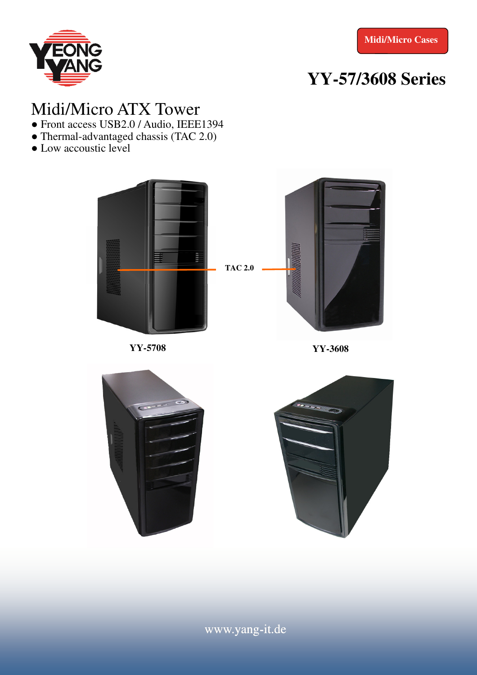

# **YY-57/3608 Series**

#### Midi/Micro ATX Tower

- Front access USB2.0 / Audio, IEEE1394
- Thermal-advantaged chassis (TAC 2.0)
- Low accoustic level



**YY-5708 YY-3608** 





www.yang-it.de